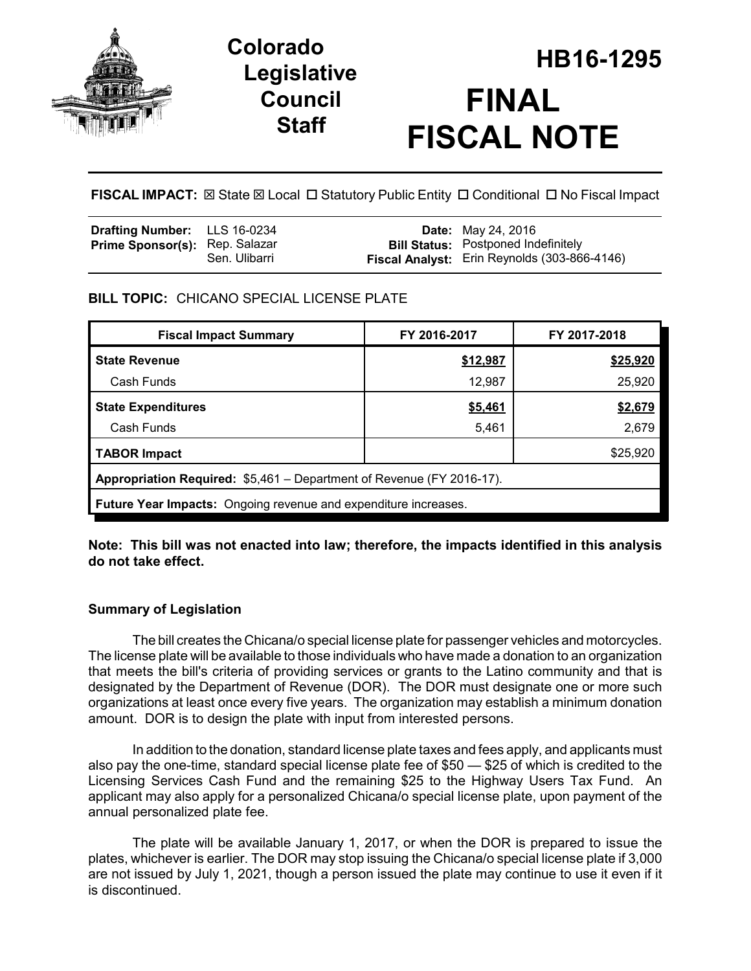

## **Legislative Council Staff**

# **HB16-1295 Colorado FINAL FISCAL NOTE**

**FISCAL IMPACT:** ⊠ State ⊠ Local □ Statutory Public Entity □ Conditional □ No Fiscal Impact

| <b>Drafting Number:</b> LLS 16-0234   |               | <b>Date:</b> May 24, 2016                    |
|---------------------------------------|---------------|----------------------------------------------|
| <b>Prime Sponsor(s): Rep. Salazar</b> |               | <b>Bill Status:</b> Postponed Indefinitely   |
|                                       | Sen. Ulibarri | Fiscal Analyst: Erin Reynolds (303-866-4146) |

#### **BILL TOPIC:** CHICANO SPECIAL LICENSE PLATE

| <b>Fiscal Impact Summary</b>                                          | FY 2016-2017 | FY 2017-2018 |  |  |  |  |
|-----------------------------------------------------------------------|--------------|--------------|--|--|--|--|
| <b>State Revenue</b>                                                  | \$12,987     | \$25,920     |  |  |  |  |
| Cash Funds                                                            | 12,987       | 25,920       |  |  |  |  |
| <b>State Expenditures</b>                                             | \$5,461      | \$2,679      |  |  |  |  |
| Cash Funds                                                            | 5,461        | 2,679        |  |  |  |  |
| <b>TABOR Impact</b>                                                   |              | \$25,920     |  |  |  |  |
| Appropriation Required: \$5,461 – Department of Revenue (FY 2016-17). |              |              |  |  |  |  |
| Future Year Impacts: Ongoing revenue and expenditure increases.       |              |              |  |  |  |  |

**Note: This bill was not enacted into law; therefore, the impacts identified in this analysis do not take effect.**

#### **Summary of Legislation**

The bill creates the Chicana/o special license plate for passenger vehicles and motorcycles. The license plate will be available to those individuals who have made a donation to an organization that meets the bill's criteria of providing services or grants to the Latino community and that is designated by the Department of Revenue (DOR). The DOR must designate one or more such organizations at least once every five years. The organization may establish a minimum donation amount. DOR is to design the plate with input from interested persons.

In addition to the donation, standard license plate taxes and fees apply, and applicants must also pay the one-time, standard special license plate fee of \$50 — \$25 of which is credited to the Licensing Services Cash Fund and the remaining \$25 to the Highway Users Tax Fund. An applicant may also apply for a personalized Chicana/o special license plate, upon payment of the annual personalized plate fee.

The plate will be available January 1, 2017, or when the DOR is prepared to issue the plates, whichever is earlier. The DOR may stop issuing the Chicana/o special license plate if 3,000 are not issued by July 1, 2021, though a person issued the plate may continue to use it even if it is discontinued.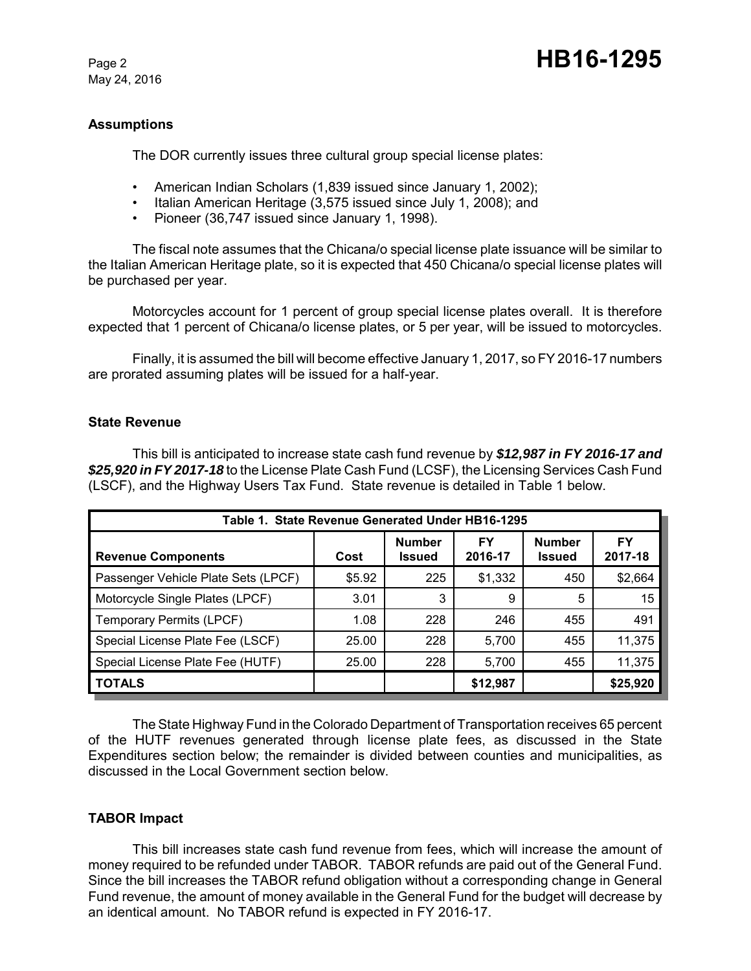May 24, 2016

### Page 2 **HB16-1295**

#### **Assumptions**

The DOR currently issues three cultural group special license plates:

- American Indian Scholars (1,839 issued since January 1, 2002);
- Italian American Heritage (3,575 issued since July 1, 2008); and
- Pioneer (36,747 issued since January 1, 1998).

The fiscal note assumes that the Chicana/o special license plate issuance will be similar to the Italian American Heritage plate, so it is expected that 450 Chicana/o special license plates will be purchased per year.

Motorcycles account for 1 percent of group special license plates overall. It is therefore expected that 1 percent of Chicana/o license plates, or 5 per year, will be issued to motorcycles.

Finally, it is assumed the bill will become effective January 1, 2017, so FY 2016-17 numbers are prorated assuming plates will be issued for a half-year.

#### **State Revenue**

This bill is anticipated to increase state cash fund revenue by *\$12,987 in FY 2016-17 and \$25,920 in FY 2017-18* to the License Plate Cash Fund (LCSF), the Licensing Services Cash Fund (LSCF), and the Highway Users Tax Fund. State revenue is detailed in Table 1 below.

| Table 1. State Revenue Generated Under HB16-1295 |        |                                |               |                                |               |  |
|--------------------------------------------------|--------|--------------------------------|---------------|--------------------------------|---------------|--|
| <b>Revenue Components</b>                        | Cost   | <b>Number</b><br><b>Issued</b> | FY<br>2016-17 | <b>Number</b><br><b>Issued</b> | FY<br>2017-18 |  |
| Passenger Vehicle Plate Sets (LPCF)              | \$5.92 | 225                            | \$1,332       | 450                            | \$2,664       |  |
| Motorcycle Single Plates (LPCF)                  | 3.01   | 3                              | 9             | 5                              | 15            |  |
| Temporary Permits (LPCF)                         | 1.08   | 228                            | 246           | 455                            | 491           |  |
| Special License Plate Fee (LSCF)                 | 25.00  | 228                            | 5,700         | 455                            | 11,375        |  |
| Special License Plate Fee (HUTF)                 | 25.00  | 228                            | 5,700         | 455                            | 11,375        |  |
| <b>TOTALS</b>                                    |        |                                | \$12,987      |                                | \$25,920      |  |

The State Highway Fund in the Colorado Department of Transportation receives 65 percent of the HUTF revenues generated through license plate fees, as discussed in the State Expenditures section below; the remainder is divided between counties and municipalities, as discussed in the Local Government section below.

#### **TABOR Impact**

This bill increases state cash fund revenue from fees, which will increase the amount of money required to be refunded under TABOR. TABOR refunds are paid out of the General Fund. Since the bill increases the TABOR refund obligation without a corresponding change in General Fund revenue, the amount of money available in the General Fund for the budget will decrease by an identical amount. No TABOR refund is expected in FY 2016-17.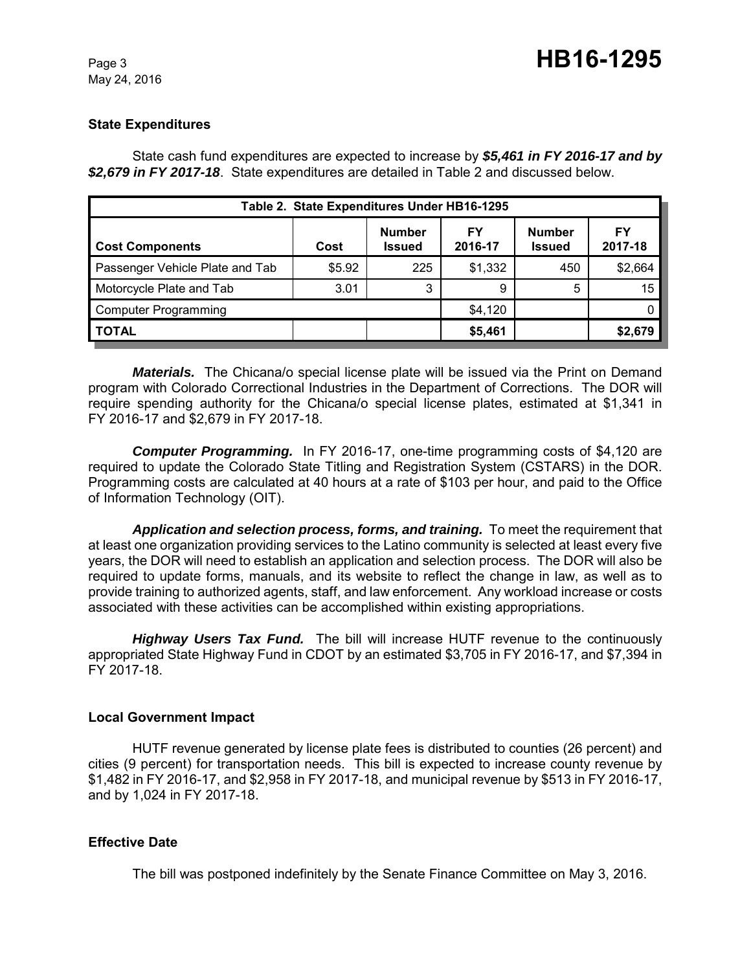May 24, 2016

#### **State Expenditures**

State cash fund expenditures are expected to increase by *\$5,461 in FY 2016-17 and by \$2,679 in FY 2017-18*. State expenditures are detailed in Table 2 and discussed below.

| Table 2. State Expenditures Under HB16-1295 |        |                                |               |                                |               |  |  |  |
|---------------------------------------------|--------|--------------------------------|---------------|--------------------------------|---------------|--|--|--|
| <b>Cost Components</b>                      | Cost   | <b>Number</b><br><b>Issued</b> | FY<br>2016-17 | <b>Number</b><br><b>Issued</b> | FY<br>2017-18 |  |  |  |
| Passenger Vehicle Plate and Tab             | \$5.92 | 225                            | \$1,332       | 450                            | \$2,664       |  |  |  |
| Motorcycle Plate and Tab                    | 3.01   | 3                              | 9             | 5                              | 15            |  |  |  |
| <b>Computer Programming</b>                 |        |                                | \$4,120       |                                |               |  |  |  |
| <b>TOTAL</b>                                |        |                                | \$5,461       |                                | \$2,679       |  |  |  |

*Materials.* The Chicana/o special license plate will be issued via the Print on Demand program with Colorado Correctional Industries in the Department of Corrections. The DOR will require spending authority for the Chicana/o special license plates, estimated at \$1,341 in FY 2016-17 and \$2,679 in FY 2017-18.

*Computer Programming.* In FY 2016-17, one-time programming costs of \$4,120 are required to update the Colorado State Titling and Registration System (CSTARS) in the DOR. Programming costs are calculated at 40 hours at a rate of \$103 per hour, and paid to the Office of Information Technology (OIT).

*Application and selection process, forms, and training.* To meet the requirement that at least one organization providing services to the Latino community is selected at least every five years, the DOR will need to establish an application and selection process. The DOR will also be required to update forms, manuals, and its website to reflect the change in law, as well as to provide training to authorized agents, staff, and law enforcement. Any workload increase or costs associated with these activities can be accomplished within existing appropriations.

*Highway Users Tax Fund.* The bill will increase HUTF revenue to the continuously appropriated State Highway Fund in CDOT by an estimated \$3,705 in FY 2016-17, and \$7,394 in FY 2017-18.

#### **Local Government Impact**

HUTF revenue generated by license plate fees is distributed to counties (26 percent) and cities (9 percent) for transportation needs. This bill is expected to increase county revenue by \$1,482 in FY 2016-17, and \$2,958 in FY 2017-18, and municipal revenue by \$513 in FY 2016-17, and by 1,024 in FY 2017-18.

#### **Effective Date**

The bill was postponed indefinitely by the Senate Finance Committee on May 3, 2016.